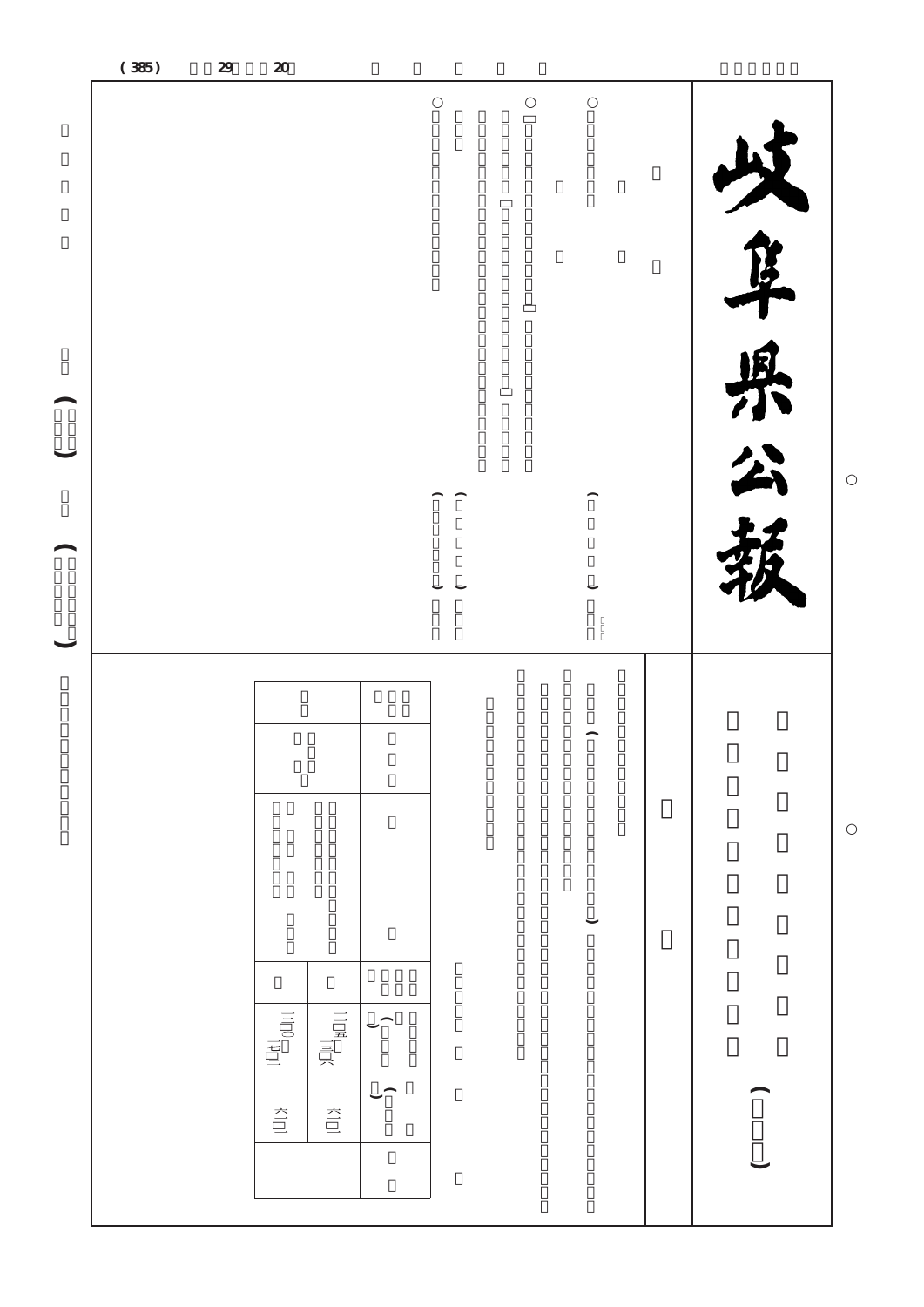